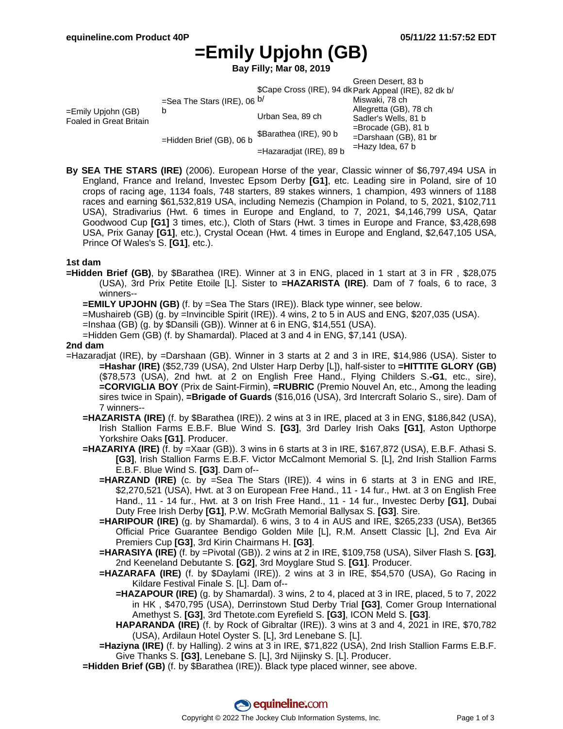# **=Emily Upjohn (GB)**

**Bay Filly; Mar 08, 2019**

|                                               |                                             |                            | Green Desert, 83 b                                    |  |
|-----------------------------------------------|---------------------------------------------|----------------------------|-------------------------------------------------------|--|
|                                               | =Sea The Stars (IRE), 06 <sup>b/</sup><br>b |                            | \$Cape Cross (IRE), 94 dk Park Appeal (IRE), 82 dk b/ |  |
| =Emily Upiohn (GB)<br>Foaled in Great Britain |                                             |                            | Miswaki, 78 ch                                        |  |
|                                               |                                             | Urban Sea, 89 ch           | Allegretta (GB), 78 ch                                |  |
|                                               |                                             |                            | Sadler's Wells, 81 b                                  |  |
|                                               | =Hidden Brief (GB), 06 b                    | \$Barathea (IRE), 90 b     | $=$ Brocade (GB), 81 b<br>$=$ Darshaan (GB), 81 br    |  |
|                                               |                                             | $=$ Hazaradjat (IRE), 89 b | =Hazy Idea, 67 b                                      |  |

**By SEA THE STARS (IRE)** (2006). European Horse of the year, Classic winner of \$6,797,494 USA in England, France and Ireland, Investec Epsom Derby **[G1]**, etc. Leading sire in Poland, sire of 10 crops of racing age, 1134 foals, 748 starters, 89 stakes winners, 1 champion, 493 winners of 1188 races and earning \$61,532,819 USA, including Nemezis (Champion in Poland, to 5, 2021, \$102,711 USA), Stradivarius (Hwt. 6 times in Europe and England, to 7, 2021, \$4,146,799 USA, Qatar Goodwood Cup **[G1]** 3 times, etc.), Cloth of Stars (Hwt. 3 times in Europe and France, \$3,428,698 USA, Prix Ganay **[G1]**, etc.), Crystal Ocean (Hwt. 4 times in Europe and England, \$2,647,105 USA, Prince Of Wales's S. **[G1]**, etc.).

### **1st dam**

**=Hidden Brief (GB)**, by \$Barathea (IRE). Winner at 3 in ENG, placed in 1 start at 3 in FR , \$28,075 (USA), 3rd Prix Petite Etoile [L]. Sister to **=HAZARISTA (IRE)**. Dam of 7 foals, 6 to race, 3 winners--

**=EMILY UPJOHN (GB)** (f. by =Sea The Stars (IRE)). Black type winner, see below.

=Mushaireb (GB) (g. by =Invincible Spirit (IRE)). 4 wins, 2 to 5 in AUS and ENG, \$207,035 (USA).

=Inshaa (GB) (g. by \$Dansili (GB)). Winner at 6 in ENG, \$14,551 (USA).

=Hidden Gem (GB) (f. by Shamardal). Placed at 3 and 4 in ENG, \$7,141 (USA).

#### **2nd dam**

- =Hazaradjat (IRE), by =Darshaan (GB). Winner in 3 starts at 2 and 3 in IRE, \$14,986 (USA). Sister to **=Hashar (IRE)** (\$52,739 (USA), 2nd Ulster Harp Derby [L]), half-sister to **=HITTITE GLORY (GB)** (\$78,573 (USA), 2nd hwt. at 2 on English Free Hand., Flying Childers S.**-G1**, etc., sire), **=CORVIGLIA BOY** (Prix de Saint-Firmin), **=RUBRIC** (Premio Nouvel An, etc., Among the leading sires twice in Spain), **=Brigade of Guards** (\$16,016 (USA), 3rd Intercraft Solario S., sire). Dam of 7 winners--
	- **=HAZARISTA (IRE)** (f. by \$Barathea (IRE)). 2 wins at 3 in IRE, placed at 3 in ENG, \$186,842 (USA), Irish Stallion Farms E.B.F. Blue Wind S. **[G3]**, 3rd Darley Irish Oaks **[G1]**, Aston Upthorpe Yorkshire Oaks **[G1]**. Producer.
	- **=HAZARIYA (IRE)** (f. by =Xaar (GB)). 3 wins in 6 starts at 3 in IRE, \$167,872 (USA), E.B.F. Athasi S. **[G3]**, Irish Stallion Farms E.B.F. Victor McCalmont Memorial S. [L], 2nd Irish Stallion Farms E.B.F. Blue Wind S. **[G3]**. Dam of--
		- **=HARZAND (IRE)** (c. by =Sea The Stars (IRE)). 4 wins in 6 starts at 3 in ENG and IRE, \$2,270,521 (USA), Hwt. at 3 on European Free Hand., 11 - 14 fur., Hwt. at 3 on English Free Hand., 11 - 14 fur., Hwt. at 3 on Irish Free Hand., 11 - 14 fur., Investec Derby **[G1]**, Dubai Duty Free Irish Derby **[G1]**, P.W. McGrath Memorial Ballysax S. **[G3]**. Sire.
		- **=HARIPOUR (IRE)** (g. by Shamardal). 6 wins, 3 to 4 in AUS and IRE, \$265,233 (USA), Bet365 Official Price Guarantee Bendigo Golden Mile [L], R.M. Ansett Classic [L], 2nd Eva Air Premiers Cup **[G3]**, 3rd Kirin Chairmans H. **[G3]**.
		- **=HARASIYA (IRE)** (f. by =Pivotal (GB)). 2 wins at 2 in IRE, \$109,758 (USA), Silver Flash S. **[G3]**, 2nd Keeneland Debutante S. **[G2]**, 3rd Moyglare Stud S. **[G1]**. Producer.
		- **=HAZARAFA (IRE)** (f. by \$Daylami (IRE)). 2 wins at 3 in IRE, \$54,570 (USA), Go Racing in Kildare Festival Finale S. [L]. Dam of--
			- **=HAZAPOUR (IRE)** (g. by Shamardal). 3 wins, 2 to 4, placed at 3 in IRE, placed, 5 to 7, 2022 in HK , \$470,795 (USA), Derrinstown Stud Derby Trial **[G3]**, Comer Group International Amethyst S. **[G3]**, 3rd Thetote.com Eyrefield S. **[G3]**, ICON Meld S. **[G3]**.
			- **HAPARANDA (IRE)** (f. by Rock of Gibraltar (IRE)). 3 wins at 3 and 4, 2021 in IRE, \$70,782 (USA), Ardilaun Hotel Oyster S. [L], 3rd Lenebane S. [L].

**=Haziyna (IRE)** (f. by Halling). 2 wins at 3 in IRE, \$71,822 (USA), 2nd Irish Stallion Farms E.B.F. Give Thanks S. **[G3]**, Lenebane S. [L], 3rd Nijinsky S. [L]. Producer.

**=Hidden Brief (GB)** (f. by \$Barathea (IRE)). Black type placed winner, see above.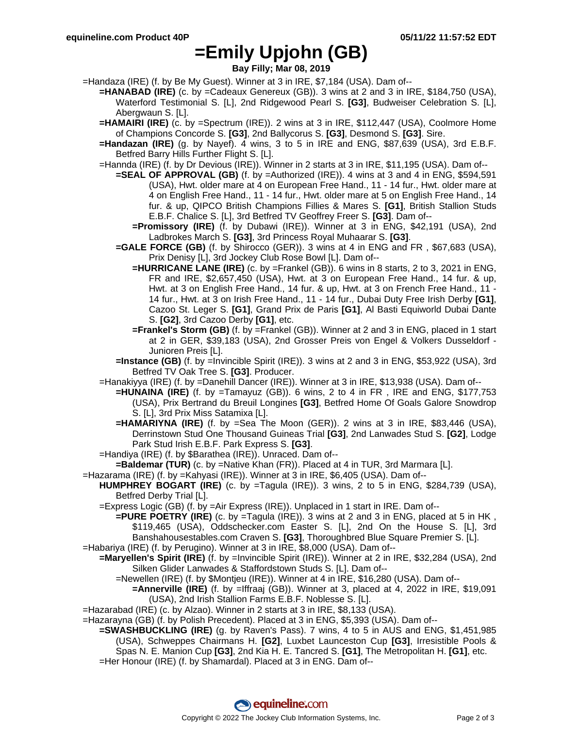### **=Emily Upjohn (GB)**

**Bay Filly; Mar 08, 2019**

=Handaza (IRE) (f. by Be My Guest). Winner at 3 in IRE, \$7,184 (USA). Dam of--

- **=HANABAD (IRE)** (c. by =Cadeaux Genereux (GB)). 3 wins at 2 and 3 in IRE, \$184,750 (USA), Waterford Testimonial S. [L], 2nd Ridgewood Pearl S. **[G3]**, Budweiser Celebration S. [L], Abergwaun S. [L].
- **=HAMAIRI (IRE)** (c. by =Spectrum (IRE)). 2 wins at 3 in IRE, \$112,447 (USA), Coolmore Home of Champions Concorde S. **[G3]**, 2nd Ballycorus S. **[G3]**, Desmond S. **[G3]**. Sire.
- **=Handazan (IRE)** (g. by Nayef). 4 wins, 3 to 5 in IRE and ENG, \$87,639 (USA), 3rd E.B.F. Betfred Barry Hills Further Flight S. [L].
- =Hannda (IRE) (f. by Dr Devious (IRE)). Winner in 2 starts at 3 in IRE, \$11,195 (USA). Dam of--
	- **=SEAL OF APPROVAL (GB)** (f. by =Authorized (IRE)). 4 wins at 3 and 4 in ENG, \$594,591 (USA), Hwt. older mare at 4 on European Free Hand., 11 - 14 fur., Hwt. older mare at 4 on English Free Hand., 11 - 14 fur., Hwt. older mare at 5 on English Free Hand., 14 fur. & up, QIPCO British Champions Fillies & Mares S. **[G1]**, British Stallion Studs E.B.F. Chalice S. [L], 3rd Betfred TV Geoffrey Freer S. **[G3]**. Dam of--
		- **=Promissory (IRE)** (f. by Dubawi (IRE)). Winner at 3 in ENG, \$42,191 (USA), 2nd Ladbrokes March S. **[G3]**, 3rd Princess Royal Muhaarar S. **[G3]**.
	- **=GALE FORCE (GB)** (f. by Shirocco (GER)). 3 wins at 4 in ENG and FR , \$67,683 (USA), Prix Denisy [L], 3rd Jockey Club Rose Bowl [L]. Dam of--
		- **=HURRICANE LANE (IRE)** (c. by =Frankel (GB)). 6 wins in 8 starts, 2 to 3, 2021 in ENG, FR and IRE, \$2,657,450 (USA), Hwt. at 3 on European Free Hand., 14 fur. & up, Hwt. at 3 on English Free Hand., 14 fur. & up, Hwt. at 3 on French Free Hand., 11 - 14 fur., Hwt. at 3 on Irish Free Hand., 11 - 14 fur., Dubai Duty Free Irish Derby **[G1]**, Cazoo St. Leger S. **[G1]**, Grand Prix de Paris **[G1]**, Al Basti Equiworld Dubai Dante S. **[G2]**, 3rd Cazoo Derby **[G1]**, etc.
		- **=Frankel's Storm (GB)** (f. by =Frankel (GB)). Winner at 2 and 3 in ENG, placed in 1 start at 2 in GER, \$39,183 (USA), 2nd Grosser Preis von Engel & Volkers Dusseldorf - Junioren Preis [L].
	- **=Instance (GB)** (f. by =Invincible Spirit (IRE)). 3 wins at 2 and 3 in ENG, \$53,922 (USA), 3rd Betfred TV Oak Tree S. **[G3]**. Producer.
- =Hanakiyya (IRE) (f. by =Danehill Dancer (IRE)). Winner at 3 in IRE, \$13,938 (USA). Dam of--
	- **=HUNAINA (IRE)** (f. by =Tamayuz (GB)). 6 wins, 2 to 4 in FR , IRE and ENG, \$177,753 (USA), Prix Bertrand du Breuil Longines **[G3]**, Betfred Home Of Goals Galore Snowdrop S. [L], 3rd Prix Miss Satamixa [L].
	- **=HAMARIYNA (IRE)** (f. by =Sea The Moon (GER)). 2 wins at 3 in IRE, \$83,446 (USA), Derrinstown Stud One Thousand Guineas Trial **[G3]**, 2nd Lanwades Stud S. **[G2]**, Lodge Park Stud Irish E.B.F. Park Express S. **[G3]**.
- =Handiya (IRE) (f. by \$Barathea (IRE)). Unraced. Dam of--
- **=Baldemar (TUR)** (c. by =Native Khan (FR)). Placed at 4 in TUR, 3rd Marmara [L].
- =Hazarama (IRE) (f. by =Kahyasi (IRE)). Winner at 3 in IRE, \$6,405 (USA). Dam of--
	- **HUMPHREY BOGART (IRE)** (c. by =Tagula (IRE)). 3 wins, 2 to 5 in ENG, \$284,739 (USA), Betfred Derby Trial [L].
	- =Express Logic (GB) (f. by =Air Express (IRE)). Unplaced in 1 start in IRE. Dam of--
- **=PURE POETRY (IRE)** (c. by =Tagula (IRE)). 3 wins at 2 and 3 in ENG, placed at 5 in HK, \$119,465 (USA), Oddschecker.com Easter S. [L], 2nd On the House S. [L], 3rd Banshahousestables.com Craven S. **[G3]**, Thoroughbred Blue Square Premier S. [L]. =Habariya (IRE) (f. by Perugino). Winner at 3 in IRE, \$8,000 (USA). Dam of--
- **=Maryellen's Spirit (IRE)** (f. by =Invincible Spirit (IRE)). Winner at 2 in IRE, \$32,284 (USA), 2nd Silken Glider Lanwades & Staffordstown Studs S. [L]. Dam of--
	- =Newellen (IRE) (f. by \$Montjeu (IRE)). Winner at 4 in IRE, \$16,280 (USA). Dam of--
		- **=Annerville (IRE)** (f. by =Iffraaj (GB)). Winner at 3, placed at 4, 2022 in IRE, \$19,091 (USA), 2nd Irish Stallion Farms E.B.F. Noblesse S. [L].
- =Hazarabad (IRE) (c. by Alzao). Winner in 2 starts at 3 in IRE, \$8,133 (USA).
- =Hazarayna (GB) (f. by Polish Precedent). Placed at 3 in ENG, \$5,393 (USA). Dam of--
	- **=SWASHBUCKLING (IRE)** (g. by Raven's Pass). 7 wins, 4 to 5 in AUS and ENG, \$1,451,985 (USA), Schweppes Chairmans H. **[G2]**, Luxbet Launceston Cup **[G3]**, Irresistible Pools & Spas N. E. Manion Cup **[G3]**, 2nd Kia H. E. Tancred S. **[G1]**, The Metropolitan H. **[G1]**, etc. =Her Honour (IRE) (f. by Shamardal). Placed at 3 in ENG. Dam of--